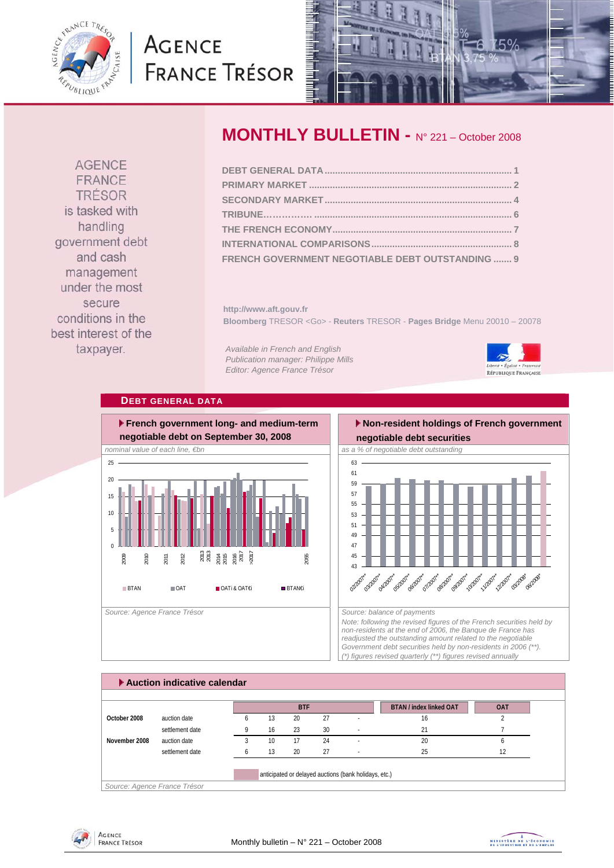<span id="page-0-0"></span>

# **AGENCE FRANCE TRÉSOR**



**AGENCE** FRANCE TRÉSOR is tasked with handling government debt and cash management under the most secure conditions in the best interest of the taxpayer.

# **MONTHLY BULLETIN -** N° 221 – October 2008

| FRENCH GOVERNMENT NEGOTIABLE DEBT OUTSTANDING  9 |  |
|--------------------------------------------------|--|

**http://www.aft.gouv.fr Bloomberg** TRESOR <Go> - **Reuters** TRESOR - **Pages Bridge** Menu 20010 – 20078

*Available in French and English Publication manager: Philippe Mills Editor: Agence France Trésor* 



## **DEBT GENERAL DATA**



# **Non-resident holdings of French government**



*Note: following the revised figures of the French securities held by non-residents at the end of 2006, the Banque de France has readjusted the outstanding amount related to the negotiable Government debt securities held by non-residents in 2006 (\*\*). (\*) figures revised quarterly (\*\*) figures revised annually* 

|               | Auction indicative calendar |    |            |    |                          |                                |            |
|---------------|-----------------------------|----|------------|----|--------------------------|--------------------------------|------------|
|               |                             |    | <b>BTF</b> |    |                          | <b>BTAN / index linked OAT</b> | <b>OAT</b> |
| October 2008  | auction date                | 13 | 20         | 27 |                          | 16                             |            |
|               | settlement date             | 16 | 23         | 30 | $\sim$                   | 21                             |            |
| November 2008 | auction date                | 10 | 17         | 24 | $\overline{\phantom{a}}$ | 20                             |            |
|               | settlement date             | 13 | 20         | 27 | $\sim$                   | 25                             | 12         |



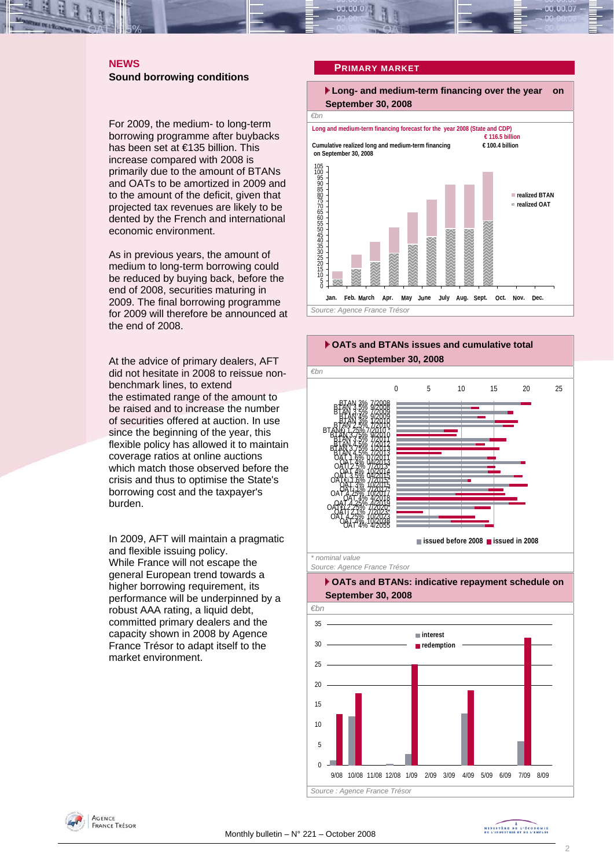### <span id="page-1-0"></span>**NEWS Sound borrowing conditions**

For 2009, the medium- to long-term borrowing programme after buybacks has been set at €135 billion. This increase compared with 2008 is primarily due to the amount of BTANs and OATs to be amortized in 2009 and to the amount of the deficit, given that projected tax revenues are likely to be dented by the French and international economic environment.

As in previous years, the amount of medium to long-term borrowing could be reduced by buying back, before the end of 2008, securities maturing in 2009. The final borrowing programme for 2009 will therefore be announced at the end of 2008.

At the advice of primary dealers, AFT did not hesitate in 2008 to reissue nonbenchmark lines, to extend the estimated range of the amount to be raised and to increase the number of securities offered at auction. In use since the beginning of the year, this flexible policy has allowed it to maintain coverage ratios at online auctions which match those observed before the crisis and thus to optimise the State's borrowing cost and the taxpayer's burden.

In 2009, AFT will maintain a pragmatic and flexible issuing policy. While France will not escape the general European trend towards a higher borrowing requirement, its performance will be underpinned by a robust AAA rating, a liquid debt. committed primary dealers and the capacity shown in 2008 by Agence France Trésor to adapt itself to the market environment.

#### **PRIMARY MARKET**





*Source: Agence France Trésor* 

#### **OATs and BTANs: indicative repayment schedule on September 30, 2008**



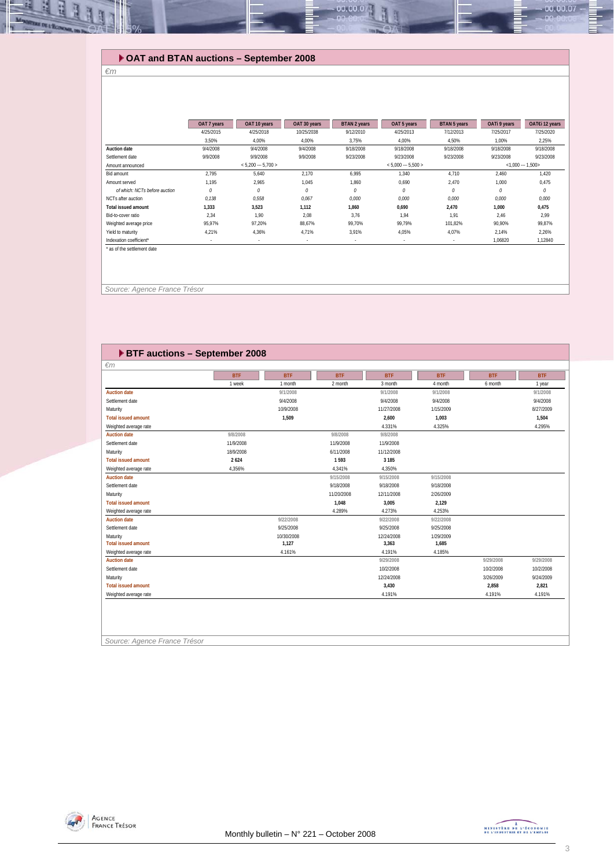## **OAT and BTAN auctions – September 2008**

*€m* 

Щ E

| <b>Auction date</b>           | 4/25/2015<br>3.50% | 4/25/2018           | 10/25/2038 |           |                     |           |           |                  |
|-------------------------------|--------------------|---------------------|------------|-----------|---------------------|-----------|-----------|------------------|
|                               |                    |                     |            | 9/12/2010 | 4/25/2013           | 7/12/2013 | 7/25/2017 | 7/25/2020        |
|                               |                    | 4.00%               | 4.00%      | 3.75%     | 4.00%               | 4.50%     | 1.00%     | 2,25%            |
|                               | 9/4/2008           | 9/4/2008            | 9/4/2008   | 9/18/2008 | 9/18/2008           | 9/18/2008 | 9/18/2008 | 9/18/2008        |
| Settlement date               | 9/9/2008           | 9/9/2008            | 9/9/2008   | 9/23/2008 | 9/23/2008           | 9/23/2008 | 9/23/2008 | 9/23/2008        |
| Amount announced              |                    | $< 5.200 - 5.700 >$ |            |           | $< 5.000 - 5.500 >$ |           |           | $<1,000 - 1,500$ |
| Bid amount                    | 2.795              | 5.640               | 2.170      | 6.995     | 1.340               | 4.710     | 2.460     | 1.420            |
| Amount served                 | 1.195              | 2.965               | 1.045      | 1.860     | 0.690               | 2.470     | 1.000     | 0.475            |
| of which: NCTs before auction | 0                  | $\theta$            | 0          | 0         | 0                   | $\theta$  | 0         | 0                |
| NCTs after auction            | 0.138              | 0.558               | 0.067      | 0.000     | 0.000               | 0.000     | 0.000     | 0,000            |
| <b>Total issued amount</b>    | 1.333              | 3.523               | 1.112      | 1.860     | 0,690               | 2.470     | 1,000     | 0,475            |
| Bid-to-cover ratio            | 2.34               | 1.90                | 2.08       | 3.76      | 1.94                | 1.91      | 2.46      | 2.99             |
| Weighted average price        | 95.97%             | 97.20%              | 88.67%     | 99.70%    | 99.79%              | 101.82%   | 90.90%    | 99.87%           |
| Yield to maturity             | 4.21%              | 4.36%               | 4.71%      | 3.91%     | 4.05%               | 4.07%     | 2,14%     | 2,26%            |
| Indexation coefficient*       |                    |                     |            |           |                     |           | 1,06820   | 1,12840          |

00.00.0

 *Source: Agence France Trésor* 

| <b>ETF auctions - September 2008</b> |            |            |            |            |            |            |            |  |  |  |
|--------------------------------------|------------|------------|------------|------------|------------|------------|------------|--|--|--|
| $\epsilon$ m                         |            |            |            |            |            |            |            |  |  |  |
|                                      | <b>BTF</b> | <b>BTF</b> | <b>BTF</b> | <b>BTF</b> | <b>BTF</b> | <b>BTF</b> | <b>BTF</b> |  |  |  |
|                                      | 1 week     | 1 month    | 2 month    | 3 month    | 4 month    | 6 month    | 1 year     |  |  |  |
| <b>Auction date</b>                  |            | 9/1/2008   |            | 9/1/2008   | 9/1/2008   |            | 9/1/2008   |  |  |  |
| Settlement date                      |            | 9/4/2008   |            | 9/4/2008   | 9/4/2008   |            | 9/4/2008   |  |  |  |
| Maturity                             |            | 10/9/2008  |            | 11/27/2008 | 1/15/2009  |            | 8/27/2009  |  |  |  |
| <b>Total issued amount</b>           |            | 1,509      |            | 2,600      | 1,003      |            | 1,504      |  |  |  |
| Weighted average rate                |            |            |            | 4.331%     | 4.325%     |            | 4.295%     |  |  |  |
| <b>Auction date</b>                  | 9/8/2008   |            | 9/8/2008   | 9/8/2008   |            |            |            |  |  |  |
| Settlement date                      | 11/9/2008  |            | 11/9/2008  | 11/9/2008  |            |            |            |  |  |  |
| Maturity                             | 18/9/2008  |            | 6/11/2008  | 11/12/2008 |            |            |            |  |  |  |
| <b>Total issued amount</b>           | 2624       |            | 1593       | 3 1 8 5    |            |            |            |  |  |  |
| Weighted average rate                | 4,356%     |            | 4,341%     | 4,350%     |            |            |            |  |  |  |
| <b>Auction date</b>                  |            |            | 9/15/2008  | 9/15/2008  | 9/15/2008  |            |            |  |  |  |
| Settlement date                      |            |            | 9/18/2008  | 9/18/2008  | 9/18/2008  |            |            |  |  |  |
| Maturity                             |            |            | 11/20/2008 | 12/11/2008 | 2/26/2009  |            |            |  |  |  |
| <b>Total issued amount</b>           |            |            | 1,048      | 3,005      | 2,129      |            |            |  |  |  |
| Weighted average rate                |            |            | 4.289%     | 4.273%     | 4.253%     |            |            |  |  |  |
| <b>Auction date</b>                  |            | 9/22/2008  |            | 9/22/2008  | 9/22/2008  |            |            |  |  |  |
| Settlement date                      |            | 9/25/2008  |            | 9/25/2008  | 9/25/2008  |            |            |  |  |  |
| Maturity                             |            | 10/30/2008 |            | 12/24/2008 | 1/29/2009  |            |            |  |  |  |
| <b>Total issued amount</b>           |            | 1,127      |            | 3,363      | 1,685      |            |            |  |  |  |
| Weighted average rate                |            | 4.161%     |            | 4.191%     | 4.185%     |            |            |  |  |  |
| <b>Auction date</b>                  |            |            |            | 9/29/2008  |            | 9/29/2008  | 9/29/2008  |  |  |  |
| Settlement date                      |            |            |            | 10/2/2008  |            | 10/2/2008  | 10/2/2008  |  |  |  |
| Maturity                             |            |            |            | 12/24/2008 |            | 3/26/2009  | 9/24/2009  |  |  |  |
| <b>Total issued amount</b>           |            |            |            | 3,430      |            | 2,858      | 2,821      |  |  |  |
| Weighted average rate                |            |            |            | 4.191%     |            | 4.191%     | 4.191%     |  |  |  |
| Source: Agence France Trésor         |            |            |            |            |            |            |            |  |  |  |



 $00.00.07$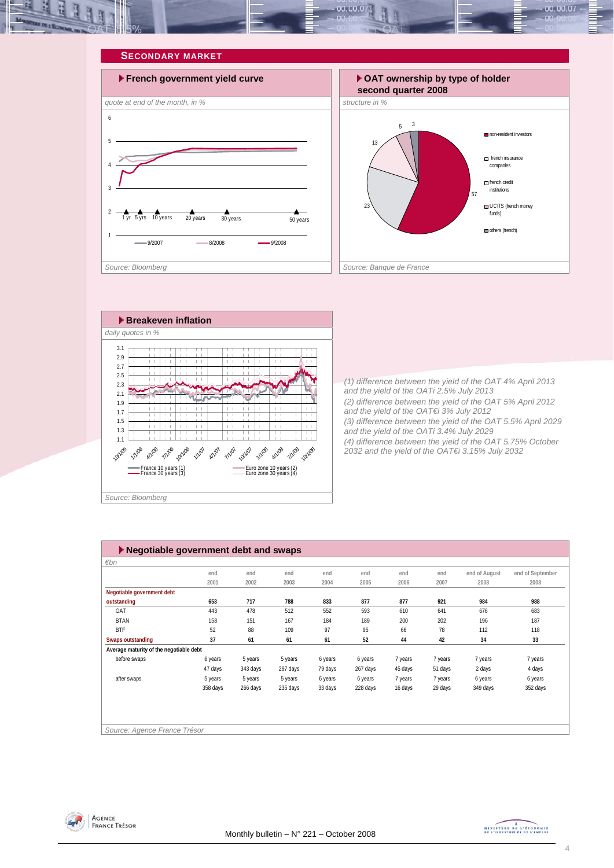<span id="page-3-0"></span>







*(1) difference between the yield of the OAT 4% April 2013 and the yield of the OATi 2.5% July 2013 (2) difference between the yield of the OAT 5% April 2012 and the yield of the OAT€i 3% July 2012 (3) difference between the yield of the OAT 5.5% April 2029 and the yield of the OATi 3.4% July 2029 (4) difference between the yield of the OAT 5.75% October 2032 and the yield of the OAT€i 3.15% July 2032* 

| $\blacktriangleright$ Negotiable government debt and swaps |          |          |          |         |          |         |         |               |                  |  |
|------------------------------------------------------------|----------|----------|----------|---------|----------|---------|---------|---------------|------------------|--|
| €bn                                                        |          |          |          |         |          |         |         |               |                  |  |
|                                                            | end      | end      | end      | end     | end      | end     | end     | end of August | end of September |  |
|                                                            | 2001     | 2002     | 2003     | 2004    | 2005     | 2006    | 2007    | 2008          | 2008             |  |
| Negotiable government debt                                 |          |          |          |         |          |         |         |               |                  |  |
| outstanding                                                | 653      | 717      | 788      | 833     | 877      | 877     | 921     | 984           | 988              |  |
| OAT                                                        | 443      | 478      | 512      | 552     | 593      | 610     | 641     | 676           | 683              |  |
| <b>BTAN</b>                                                | 158      | 151      | 167      | 184     | 189      | 200     | 202     | 196           | 187              |  |
| <b>BTF</b>                                                 | 52       | 88       | 109      | 97      | 95       | 66      | 78      | 112           | 118              |  |
| Swaps outstanding                                          | 37       | 61       | 61       | 61      | 52       | 44      | 42      | 34            | 33               |  |
| Average maturity of the negotiable debt                    |          |          |          |         |          |         |         |               |                  |  |
| before swaps                                               | 6 years  | 5 years  | 5 years  | 6 years | 6 years  | 7 years | 7 years | 7 years       | 7 years          |  |
|                                                            | 47 days  | 343 days | 297 days | 79 days | 267 days | 45 days | 51 days | 2 days        | 4 days           |  |
| after swaps                                                | 5 years  | 5 years  | 5 years  | 6 years | 6 years  | 7 years | 7 years | 6 years       | 6 years          |  |
|                                                            | 358 days | 266 days | 235 days | 33 days | 228 days | 16 days | 29 days | 349 days      | 352 days         |  |
|                                                            |          |          |          |         |          |         |         |               |                  |  |
|                                                            |          |          |          |         |          |         |         |               |                  |  |
|                                                            |          |          |          |         |          |         |         |               |                  |  |
| Source: Agence France Trésor                               |          |          |          |         |          |         |         |               |                  |  |



MINISTÈRE DE L'ÉCONOMIE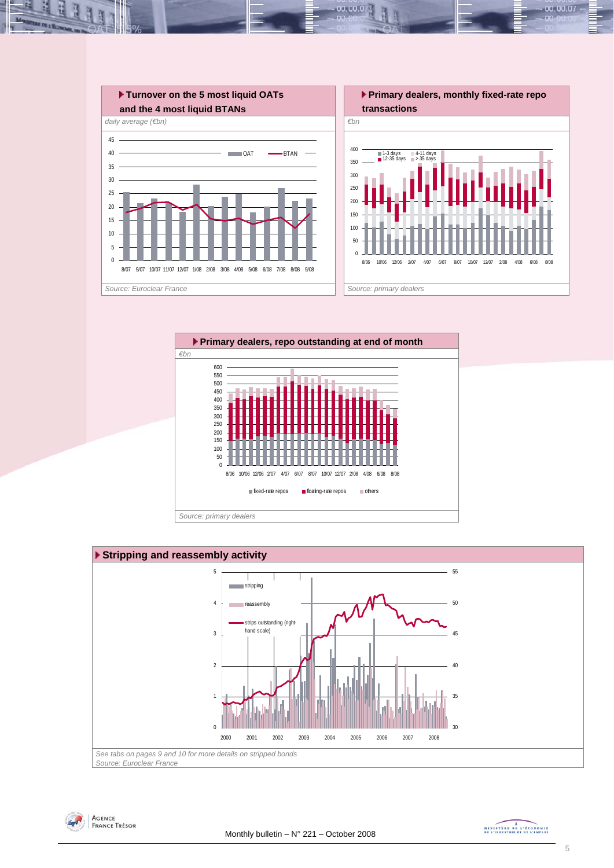

 $00.001$ 







MINISTRE DE L'ÉCONOMIE

00.00.07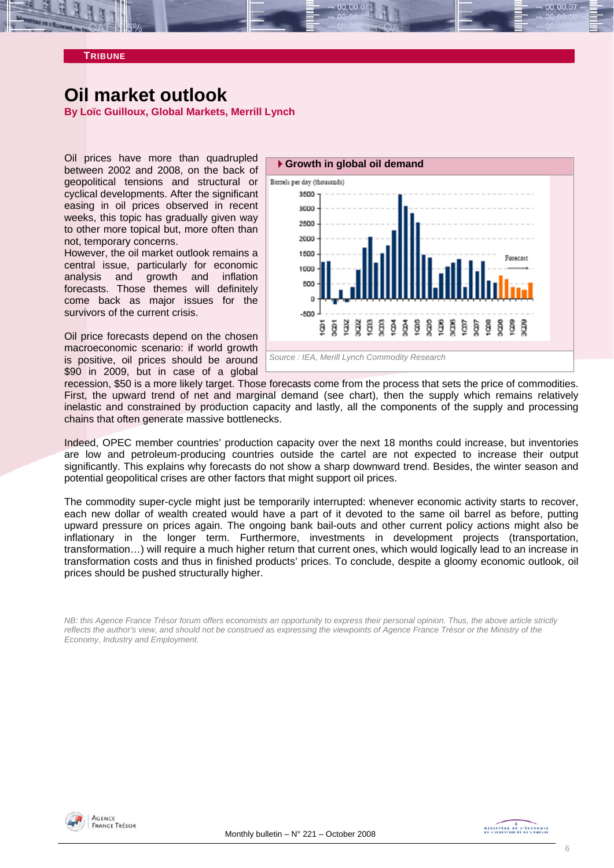<span id="page-5-0"></span>

# **Oil market outlook**

**By Loïc Guilloux, Global Markets, Merrill Lynch** 

Oil prices have more than quadrupled between 2002 and 2008, on the back of geopolitical tensions and structural or cyclical developments. After the significant easing in oil prices observed in recent weeks, this topic has gradually given way to other more topical but, more often than not, temporary concerns.

However, the oil market outlook remains a central issue, particularly for economic analysis and growth and inflation forecasts. Those themes will definitely come back as major issues for the survivors of the current crisis.

Oil price forecasts depend on the chosen macroeconomic scenario: if world growth is positive, oil prices should be around \$90 in 2009, but in case of a global



recession, \$50 is a more likely target. Those forecasts come from the process that sets the price of commodities. First, the upward trend of net and marginal demand (see chart), then the supply which remains relatively inelastic and constrained by production capacity and lastly, all the components of the supply and processing chains that often generate massive bottlenecks.

Indeed, OPEC member countries' production capacity over the next 18 months could increase, but inventories are low and petroleum-producing countries outside the cartel are not expected to increase their output significantly. This explains why forecasts do not show a sharp downward trend. Besides, the winter season and potential geopolitical crises are other factors that might support oil prices.

The commodity super-cycle might just be temporarily interrupted: whenever economic activity starts to recover, each new dollar of wealth created would have a part of it devoted to the same oil barrel as before, putting upward pressure on prices again. The ongoing bank bail-outs and other current policy actions might also be inflationary in the longer term. Furthermore, investments in development projects (transportation, transformation…) will require a much higher return that current ones, which would logically lead to an increase in transformation costs and thus in finished products' prices. To conclude, despite a gloomy economic outlook, oil prices should be pushed structurally higher.

*NB: this Agence France Trésor forum offers economists an opportunity to express their personal opinion. Thus, the above article strictly reflects the author's view, and should not be construed as expressing the viewpoints of Agence France Trésor or the Ministry of the Economy, Industry and Employment.* 

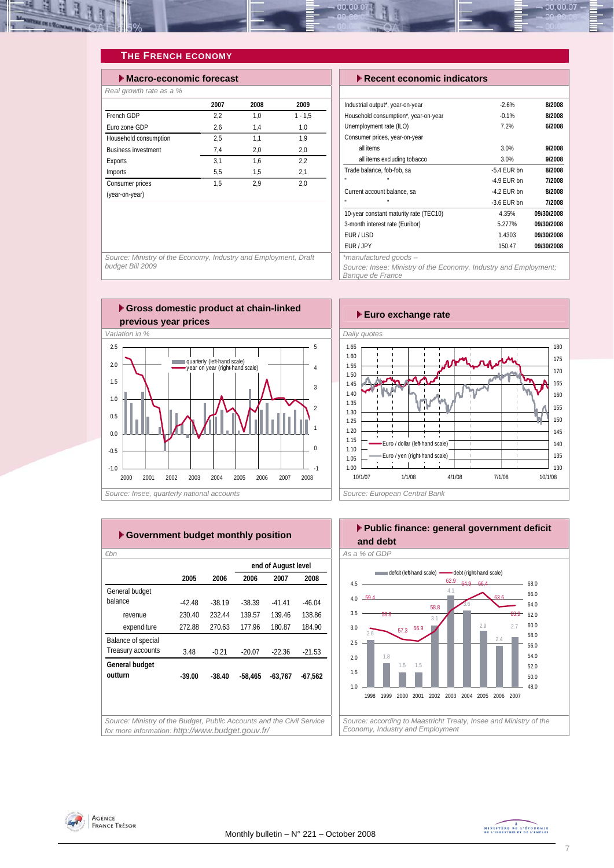<span id="page-6-0"></span>

## **THE FRENCH ECONOMY**

| $\blacktriangleright$ Macro-economic forecast |      |      |           |  |  |  |  |  |  |
|-----------------------------------------------|------|------|-----------|--|--|--|--|--|--|
| Real growth rate as a %                       |      |      |           |  |  |  |  |  |  |
|                                               | 2007 | 2008 | 2009      |  |  |  |  |  |  |
| French GDP                                    | 2.2  | 1.0  | $1 - 1.5$ |  |  |  |  |  |  |
| Furo zone GDP                                 | 2.6  | 1.4  | 1.0       |  |  |  |  |  |  |
| Household consumption                         | 2.5  | 1,1  | 1.9       |  |  |  |  |  |  |
| <b>Business investment</b>                    | 7,4  | 2,0  | 2,0       |  |  |  |  |  |  |
| Exports                                       | 3.1  | 1.6  | 2,2       |  |  |  |  |  |  |
| Imports                                       | 5,5  | 1.5  | 2,1       |  |  |  |  |  |  |
| Consumer prices                               | 1.5  | 2.9  | 2.0       |  |  |  |  |  |  |
| (year-on-year)                                |      |      |           |  |  |  |  |  |  |

#### **Execent economic indicators**

| Industrial output*, year-on-year       | $-2.6%$       | 8/2008     |
|----------------------------------------|---------------|------------|
| Household consumption*, year-on-year   | $-0.1%$       | 8/2008     |
| Unemployment rate (ILO)                | 7.2%          | 6/2008     |
| Consumer prices, year-on-year          |               |            |
| all items                              | 3.0%          | 9/2008     |
| all items excluding tobacco            | 3.0%          | 9/2008     |
| Trade balance, fob-fob, sa             | $-5.4$ EUR bn | 8/2008     |
| $\mathbf{u}$<br>H.                     | $-49$ FUR hn  | 7/2008     |
| Current account balance, sa            | $-4.2$ FUR bn | 8/2008     |
|                                        | $-3.6$ FUR bn | 7/2008     |
| 10-year constant maturity rate (TEC10) | 4.35%         | 09/30/2008 |
| 3-month interest rate (Euribor)        | 5.277%        | 09/30/2008 |
| FUR / USD                              | 1.4303        | 09/30/2008 |
| FUR / JPY                              | 150.47        | 09/30/2008 |
| $*$ manufacturad anade                 |               |            |

*\*manufactured goods –* 

*Source: Insee; Ministry of the Economy, Industry and Employment; Banque de France* 

*Source: Ministry of the Economy, Industry and Employment, Draft budget Bill 2009* 



| Euro exchange rate                        |         |
|-------------------------------------------|---------|
| Daily quotes                              |         |
| 1.65                                      | 180     |
| 1.60                                      | 175     |
| 1.55                                      | 170     |
| 1.50                                      |         |
| 1.45                                      | 165     |
| 1.40                                      | 160     |
| 1.35                                      | 155     |
| 1.30                                      |         |
| 1.25                                      | 150     |
| 1.20                                      | 145     |
| 1.15<br>- Euro / dollar (left-hand scale) | 140     |
| 1.10<br>Euro / yen (right-hand scale)     | 135     |
| 1.05                                      |         |
| 1.00                                      | 130     |
| 10/1/07<br>1/1/08<br>7/1/08<br>4/1/08     | 10/1/08 |
| Source: European Central Rank             |         |

| ▶ Government budget monthly position                                  |          |          |           |                     |           | l Public f<br>and debt |
|-----------------------------------------------------------------------|----------|----------|-----------|---------------------|-----------|------------------------|
| $\varepsilon$ bn                                                      |          |          |           |                     |           | As a % of GDP          |
|                                                                       |          |          |           | end of August level |           |                        |
|                                                                       | 2005     | 2006     | 2006      | 2007                | 2008      | defic                  |
| General budget                                                        |          |          |           |                     |           | 4.5                    |
| balance                                                               | $-42.48$ | $-38.19$ | $-38.39$  | $-41.41$            | $-46.04$  | $4.0 -59.4$            |
| revenue                                                               | 230.40   | 232.44   | 139.57    | 139.46              | 138.86    | 3.5<br>58.8            |
| expenditure                                                           | 272.88   | 270.63   | 177.96    | 180.87              | 184.90    | 3.0                    |
| Balance of special                                                    |          |          |           |                     |           | 2.6<br>2.5             |
| Treasury accounts                                                     | 3.48     | $-0.21$  | $-20.07$  | $-22.36$            | $-21.53$  | 10                     |
| General budget                                                        |          |          |           |                     |           | 2.0                    |
| outturn                                                               | $-39.00$ | $-38.40$ | $-58.465$ | $-63,767$           | $-67,562$ | 1.5                    |
|                                                                       |          |          |           |                     |           | 1.0                    |
|                                                                       |          |          |           |                     |           | 1999 2<br>1998         |
|                                                                       |          |          |           |                     |           |                        |
| Source: Ministry of the Budget, Public Accounts and the Civil Service |          |          |           |                     |           | Source: accordin       |
| for more information: http://www.budget.gouv.fr/                      |          |          |           |                     |           | Economy, Industi       |





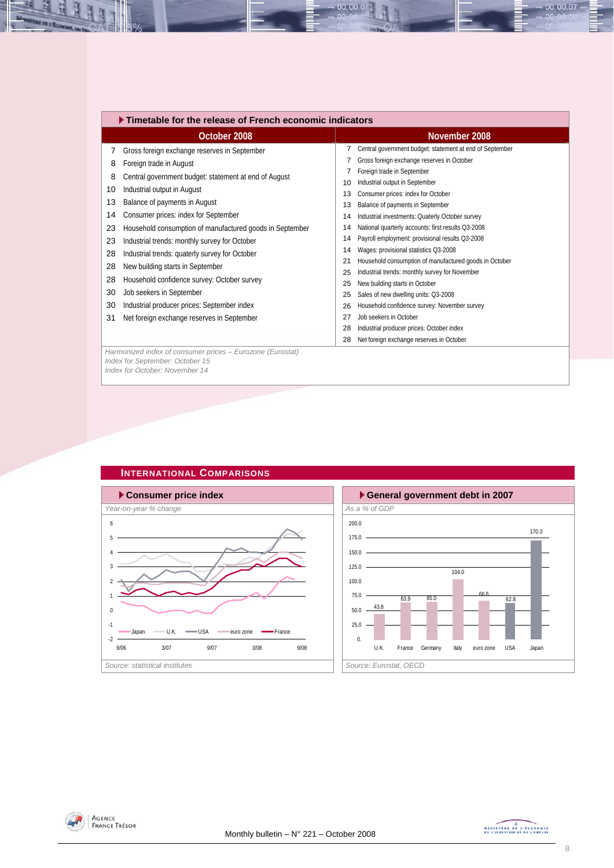|                                                    | ▶ Timetable for the release of French economic indicators                                                                                                                                                                                                                                                                                                                                                       |                                                                      |                                                                                                                                                                                                                                                                                                                                                                                                                                                                                                                                                            |  |  |  |  |  |  |
|----------------------------------------------------|-----------------------------------------------------------------------------------------------------------------------------------------------------------------------------------------------------------------------------------------------------------------------------------------------------------------------------------------------------------------------------------------------------------------|----------------------------------------------------------------------|------------------------------------------------------------------------------------------------------------------------------------------------------------------------------------------------------------------------------------------------------------------------------------------------------------------------------------------------------------------------------------------------------------------------------------------------------------------------------------------------------------------------------------------------------------|--|--|--|--|--|--|
|                                                    | October 2008                                                                                                                                                                                                                                                                                                                                                                                                    |                                                                      | November 2008                                                                                                                                                                                                                                                                                                                                                                                                                                                                                                                                              |  |  |  |  |  |  |
| 7<br>8<br>8<br>10<br>13                            | Gross foreign exchange reserves in September<br>Foreign trade in August<br>Central government budget: statement at end of August<br>Industrial output in August<br>Balance of payments in August                                                                                                                                                                                                                | 10<br>13<br>13                                                       | Central government budget: statement at end of September<br>Gross foreign exchange reserves in October<br>Foreign trade in September<br>Industrial output in September<br>Consumer prices: index for October<br>Balance of payments in September                                                                                                                                                                                                                                                                                                           |  |  |  |  |  |  |
| 14<br>23<br>23<br>28<br>28<br>28<br>30<br>30<br>31 | Consumer prices: index for September<br>Household consumption of manufactured goods in September<br>Industrial trends: monthly survey for October<br>Industrial trends: quaterly survey for October<br>New building starts in September<br>Household confidence survey: October survey<br>Job seekers in September<br>Industrial producer prices: September index<br>Net foreign exchange reserves in September | 14<br>14<br>14<br>14<br>21<br>25<br>25<br>25<br>26<br>27<br>28<br>28 | Industrial investments: Quaterly October survey<br>National quarterly accounts: first results Q3-2008<br>Payroll employment: provisional results Q3-2008<br>Wages: provisional statistics Q3-2008<br>Household consumption of manufactured goods in October<br>Industrial trends: monthly survey for November<br>New building starts in October<br>Sales of new dwelling units: Q3-2008<br>Household confidence survey: November survey<br>Job seekers in October<br>Industrial producer prices: October index<br>Net foreign exchange reserves in October |  |  |  |  |  |  |
|                                                    | Harmonized index of consumer prices - Eurozone (Eurostat)<br>Index for September: October 15<br>Index for October: November 14                                                                                                                                                                                                                                                                                  |                                                                      |                                                                                                                                                                                                                                                                                                                                                                                                                                                                                                                                                            |  |  |  |  |  |  |

 $00.00.07$ 



**INTERNATIONAL COMPARISONS** 





<span id="page-7-0"></span>즤 u

H



 $-00.00.07 -$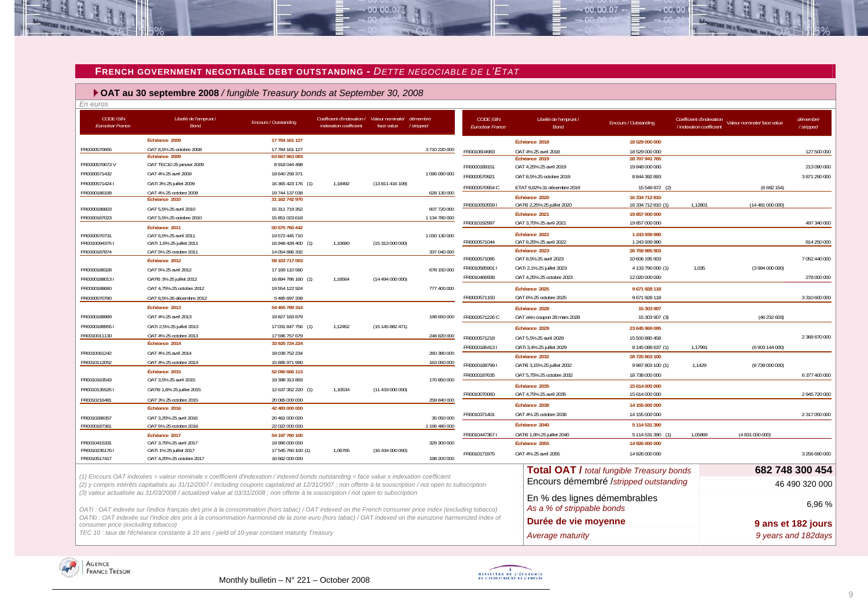#### **FRENCH GOVERNMENT NEGOTIABLE DEBT OUTSTANDING -** *DETTE NEGOCIABLE DE L'ETAT*

 $00.00.07$ 

 **OAT au 30 septembre 2008** */ fungible Treasury bonds at September 30, 2008*

| En euros                                    |                                                                                                                                                           |                                      |                                                                       |                  |                       |                                      |                                          |                                                  |                                                      |                             |                        |
|---------------------------------------------|-----------------------------------------------------------------------------------------------------------------------------------------------------------|--------------------------------------|-----------------------------------------------------------------------|------------------|-----------------------|--------------------------------------|------------------------------------------|--------------------------------------------------|------------------------------------------------------|-----------------------------|------------------------|
| <b>CODE ISIN</b><br><b>Euroclear France</b> | Libellé de l'emprunt /<br>Bond                                                                                                                            | Encours / Outstanding                | Coefficient d'indexation / Valeur nominale/<br>indexation coefficient | face value       | démembré<br>/stripped | <b>CODE ISIN</b><br>Euroclear France | Libellé de l'emprunt /<br>Bond           | Encours / Outstanding                            | Coefficient d'indexation<br>/ indexation coefficient | Valeur nominale/ face value | démembré<br>/ stripped |
|                                             | Échéance 2008                                                                                                                                             | 17 784 161 127                       |                                                                       |                  |                       |                                      | Échéance 2018                            | 18 529 000 000                                   |                                                      |                             |                        |
| FR0000570665                                | OAT 8,5% 25 octobre 2008                                                                                                                                  | 17 784 161 127                       |                                                                       |                  | 3710 220 000          | FR0010604983                         | OAT 4% 25 avril 2018                     | 18 529 000 000                                   |                                                      |                             | 127 500 000            |
|                                             | Échéance 2009                                                                                                                                             | 63 667 863 083                       |                                                                       |                  |                       |                                      | Échéance 2019                            | 28 707 941 765                                   |                                                      |                             |                        |
| FR0000570673V                               | OAT TEC10 25 janvier 2009                                                                                                                                 | 8918044498                           |                                                                       |                  |                       | FR0000189151                         | OAT 4,25% 25 avril 2019                  | 19 848 000 000                                   |                                                      |                             | 213 090 000            |
| FR0000571432                                | OAT 4% 25 avril 2009                                                                                                                                      | 18 640 258 371                       |                                                                       |                  | 1 096 090 000         | FR0000570921                         | OAT 8,5% 25 octobre 2019                 | 8 844 392 893                                    |                                                      |                             | 3 871 290 000          |
| FR00005714241                               | OATi 3% 25 juillet 2009                                                                                                                                   | 16 365 423 176 (1)                   | 1,18492                                                               | (13 811 416 109) |                       | FR0000570954 C                       | ETAT 9,82% 31 décembre 2019              | 15 548 872 (2)                                   |                                                      | (6692154)                   |                        |
| FR0000186199                                | OAT 4% 25 octobre 2009                                                                                                                                    | 19 744 137 038                       |                                                                       |                  | 628 130 000           |                                      | Échéance 2020                            | 16 334 712 810                                   |                                                      |                             |                        |
|                                             | Échéance 2010                                                                                                                                             | 31 162 742 970                       |                                                                       |                  |                       | FR00100505591                        | OATEi 2,25% 25 juillet 2020              | 16 334 712 810 (1)                               | 1,12801                                              | (14481000000)               |                        |
| FR0000186603                                | OAT 5.5% 25 avril 2010                                                                                                                                    | 15 311 719 352                       |                                                                       |                  | 607 720 000           |                                      | Échéance 2021                            | 19 857 000 000                                   |                                                      |                             |                        |
| FR0000187023                                | OAT 5.5% 25 octobre 2010                                                                                                                                  | 15 851 023 618                       |                                                                       |                  | 1 134 780 000         | FR0010192997                         | OAT 3,75% 25 avril 2021                  | 19 857 000 000                                   |                                                      |                             | 497 340 000            |
|                                             | Échéance 2011                                                                                                                                             | 50 575 760 442                       |                                                                       |                  |                       |                                      |                                          |                                                  |                                                      |                             |                        |
| FR0000570731                                | OAT 6.5% 25 avril 2011                                                                                                                                    | 19 572 445 710                       |                                                                       |                  | 1 030 130 000         | FR0000571044                         | Échéance 2022<br>OAT 8,25% 25 avril 2022 | 1 243 939 990<br>1 243 939 990                   |                                                      |                             | 814 250 000            |
| FR00100943751                               | OATi 1,6% 25 juillet 2011                                                                                                                                 | 16 948 428 400 (1)                   | 1,10680                                                               | (15313000000)    |                       |                                      | Échéance 2023                            | 26 759 985 903                                   |                                                      |                             |                        |
| FR0000187874                                | OAT 5% 25 octobre 2011<br>Échéance 2012                                                                                                                   | 14 054 886 332<br>59 103 717 003     |                                                                       |                  | 337 040 000           | FR0000571085                         | OAT 8,5% 25 avril 2023                   | 10 606 195 903                                   |                                                      |                             | 7 052 440 000          |
| FR0000188328                                | OAT 5% 25 avril 2012                                                                                                                                      | 17 169 110 580                       |                                                                       |                  | 678 150 000           | FR00105859011                        | OATi 2,1% 25 juillet 2023                | 4 133 790 000 (1)                                | 1,035                                                | (3994000000)                |                        |
| FR00001880131                               |                                                                                                                                                           |                                      | 1,16564                                                               |                  |                       | FR0010466938                         | OAT 4,25% 25 octobre 2023                | 12 020 000 000                                   |                                                      |                             | 278 000 000            |
|                                             | OAT€i 3% 25 juillet 2012                                                                                                                                  | 16 894 786 160 (1)                   |                                                                       | (14 494 000 000) |                       |                                      |                                          |                                                  |                                                      |                             |                        |
| FR0000188690                                | OAT 4,75% 25 octobre 2012                                                                                                                                 | 19554 122 924                        |                                                                       |                  | 777 400 000           | FR0000571150                         | Échéance 2025<br>OAT 6% 25 octobre 2025  | 9671928118<br>9671928118                         |                                                      |                             | 3 310 600 000          |
| FR0000570780                                | OAT 8,5% 26 décembre 2012                                                                                                                                 | 5 485 697 339                        |                                                                       |                  |                       |                                      |                                          |                                                  |                                                      |                             |                        |
|                                             | Échéance 2013                                                                                                                                             | 54 455 789 314                       |                                                                       |                  |                       |                                      | Échéance 2028                            | 15 303 907                                       |                                                      |                             |                        |
| FR0000188989                                | OAT 4% 25 avril 2013                                                                                                                                      | 19 827 183 879                       |                                                                       |                  | 198 650 000           | FR0000571226 C                       | OAT zéro coupon 28 mars 2028             | 15 303 907 (3)                                   |                                                      | (46232603)                  |                        |
| FR00001889551                               | OATi 2,5% 25 juillet 2013                                                                                                                                 | 17 031 847 756 (1)                   | 1,12452                                                               | (15145882471)    |                       |                                      | Échéance 2029                            | 23 645 969 095                                   |                                                      |                             |                        |
| FR0010011130                                | OAT 4% 25 octobre 2013                                                                                                                                    | 17 596 757 679                       |                                                                       |                  | 248 820 000           | FR0000571218                         | OAT 5.5% 25 avril 2029                   | 15 500 880 458                                   |                                                      |                             | 2 368 670 000          |
|                                             | Échéance 2014                                                                                                                                             | 33 925 724 224                       |                                                                       |                  |                       | FR00001864131                        | OATi 3,4% 25 juillet 2029                | 8 145 088 637 (1)                                | 1,17991                                              | (6 903 144 000)             |                        |
| FR0010061242                                | OAT 4% 25 avril 2014                                                                                                                                      | 18 039 752 234                       |                                                                       |                  | 260 380 000           |                                      | Échéance 2032                            | 28 725 803 100                                   |                                                      |                             |                        |
| FR0010112052                                | OAT 4% 25 octobre 2014                                                                                                                                    | 15 885 971 990                       |                                                                       |                  | 163 050 000           | FR00001887991                        | OATEi 3,15% 25 juillet 2032              | 9 987 803 100 (1)                                | 1,1429                                               | (8739000000)                |                        |
|                                             | Échéance 2015                                                                                                                                             | 52 090 666 113                       |                                                                       |                  |                       | FR0000187635                         | OAT 5,75% 25 octobre 2032                | 18 738 000 000                                   |                                                      |                             | 6 377 400 000          |
| FR0010163543                                | OAT 3,5% 25 avril 2015                                                                                                                                    | 19 388 313 893                       |                                                                       |                  | 170 850 000           |                                      | Échéance 2035                            | 15 614 000 000                                   |                                                      |                             |                        |
| FR00101355251                               | OAT€i 1,6% 25 juillet 2015                                                                                                                                | 12 637 352 220 (1)                   | 1,10534                                                               | (11 433 000 000) |                       | FR0010070060                         | OAT 4,75% 25 avril 2035                  | 15 614 000 000                                   |                                                      |                             | 2 945 720 000          |
| FR0010216481                                | OAT 3% 25 octobre 2015                                                                                                                                    | 20 065 000 000                       |                                                                       |                  | 259 840 000           |                                      | Échéance 2038                            | 14 155 000 000                                   |                                                      |                             |                        |
|                                             | Échéance 2016                                                                                                                                             | 42 483 000 000                       |                                                                       |                  |                       | FR0010371401                         | OAT 4% 25 octobre 2038                   | 14 155 000 000                                   |                                                      |                             | 2 317 050 000          |
| FR0010288357                                | OAT 3,25% 25 avril 2016                                                                                                                                   | 20 461 000 000                       |                                                                       |                  | 35 050 000            |                                      |                                          |                                                  |                                                      |                             |                        |
| FR0000187361                                | OAT 5% 25 octobre 2016                                                                                                                                    | 22 022 000 000                       |                                                                       |                  | 1 196 480 000         |                                      | Échéance 2040                            | 5 114 531 390                                    |                                                      |                             |                        |
|                                             | Échéance 2017                                                                                                                                             | 54 197 760 100                       |                                                                       |                  |                       | FR00104473671                        | OATEi 1,8% 25 juillet 2040               | 5 114 531 390 (1)                                | 1.05869                                              | (4 831 000 000)             |                        |
| FR0010415331<br>FR0010235176 I              | OAT 3,75% 25 avril 2017<br>OATi 1% 25 juillet 2017                                                                                                        | 19 990 000 000<br>17 545 760 100 (1) | 1,06765                                                               | (16434000000)    | 329 300 000           |                                      | Échéance 2055                            | 14 926 000 000                                   |                                                      |                             |                        |
| FR0010517417                                | OAT 4,25% 25 octobre 2017                                                                                                                                 | 16 662 000 000                       |                                                                       |                  | 198 200 000           | FR0010171975                         | OAT 4% 25 avril 2055                     | 14 926 000 000                                   |                                                      |                             | 3 256 690 000          |
|                                             |                                                                                                                                                           |                                      |                                                                       |                  |                       |                                      |                                          |                                                  |                                                      |                             |                        |
|                                             | (1) Encours OAT indexées = valeur nominale x coefficient d'indexation / indexed bonds outstanding = face value x indexation coefficient                   |                                      |                                                                       |                  |                       |                                      |                                          | <b>Total OAT / total fungible Treasury bonds</b> |                                                      |                             | 682 748 300 454        |
|                                             | (2) y compris intérêts capitalisés au 31/12/2007 / including coupons capitalized at 12/31/2007 ; non offerte à la souscription / not open to subscription |                                      |                                                                       |                  |                       |                                      |                                          | Encours démembré /stripped outstanding           |                                                      |                             | 46 490 320 000         |
|                                             | (3) valeur actualisée au 31/03/2008 / actualized value at 03/31/2008 ; non offerte à la souscription / not open to subscription                           |                                      |                                                                       |                  |                       |                                      |                                          |                                                  |                                                      |                             |                        |
|                                             |                                                                                                                                                           |                                      |                                                                       |                  |                       |                                      | En % des lignes démembrables             |                                                  |                                                      |                             | 6.96%                  |
|                                             | OATi: OAT indexée sur l'indice français des prix à la consommation (hors tabac) / OAT indexed on the French consumer price index (excluding tobacco)      |                                      |                                                                       |                  |                       |                                      | As a % of strippable bonds               |                                                  |                                                      |                             |                        |
|                                             | OAT€i : OAT indexée sur l'indice des prix à la consommation harmonisé de la zone euro (hors tabac) / OAT indexed on the eurozone harmonized index of      |                                      |                                                                       |                  |                       |                                      | Durée de vie moyenne                     |                                                  |                                                      |                             |                        |
| consumer price (excluding tobacco)          |                                                                                                                                                           |                                      |                                                                       |                  |                       |                                      |                                          |                                                  |                                                      |                             | 9 ans et 182 jours     |
|                                             | TEC 10 : taux de l'échéance constante à 10 ans / yield of 10-year constant maturity Treasury                                                              |                                      |                                                                       |                  |                       |                                      | Average maturity                         |                                                  |                                                      |                             | 9 years and 182 days   |

<span id="page-8-0"></span>



00.00.07

nn nn